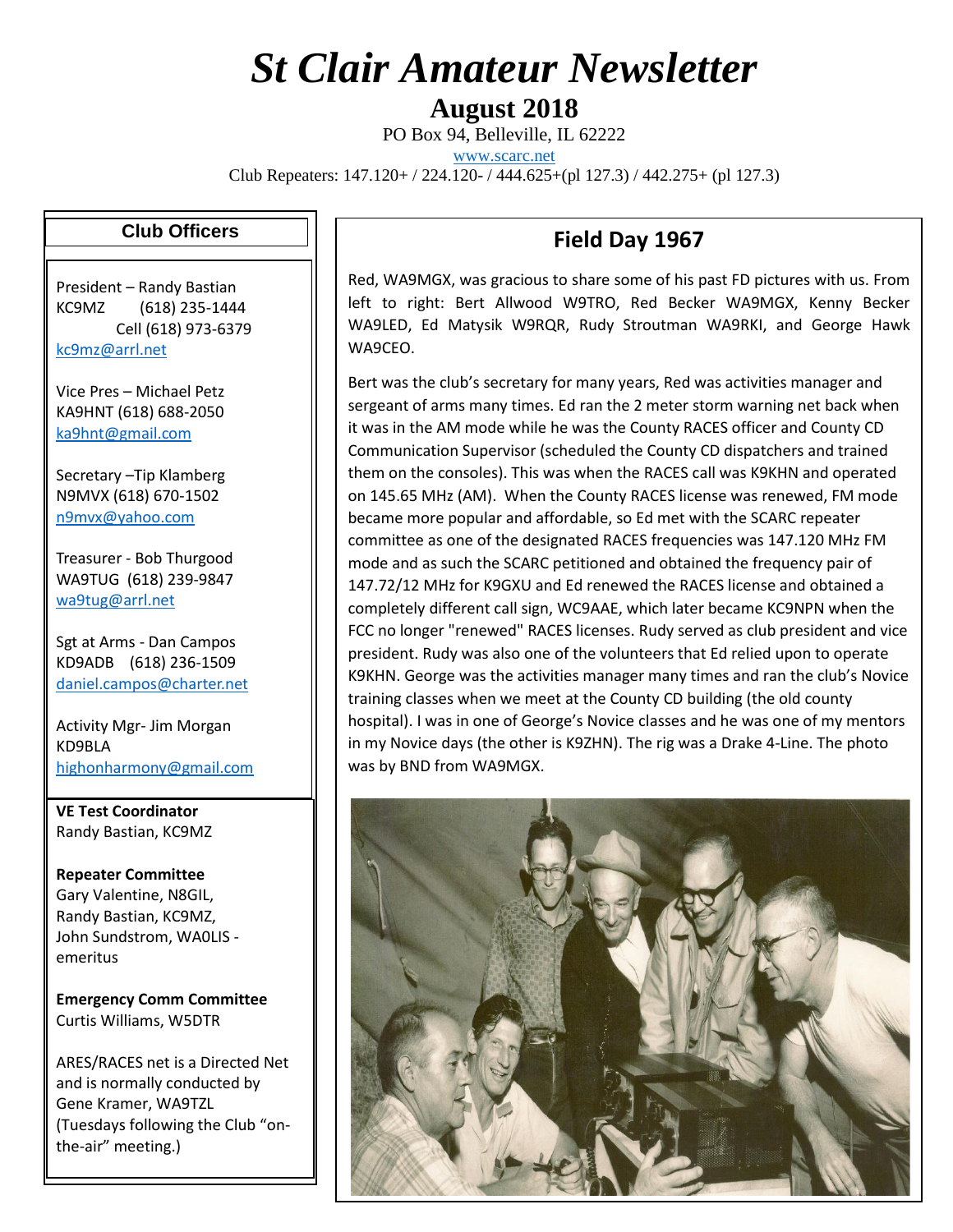## *St Clair Amateur Newsletter*

**August 2018**

PO Box 94, Belleville, IL 62222

[www.scarc.net](http://www.scarc.net/)

Club Repeaters: 147.120+ / 224.120- / 444.625+(pl 127.3) / 442.275+ (pl 127.3)

## **Club Officers**

President – Randy Bastian KC9MZ (618) 235-1444 Cell (618) 973-6379 [kc9mz@arrl.net](mailto:kc9mz@arrl.net)

Vice Pres – Michael Petz KA9HNT (618) 688-2050 [ka9hnt@gmail.com](mailto:ka9hnt@gmail.com)

Secretary –Tip Klamberg N9MVX (618) 670-1502 [n9mvx@yahoo.com](mailto:n9mvx@yahoo.com)

Treasurer - Bob Thurgood WA9TUG (618) 239-9847 [wa9tug@arrl.net](mailto:wa9tug@arrl.net)

Sgt at Arms - Dan Campos KD9ADB (618) 236-1509 [daniel.campos@charter.net](mailto:daniel.campos@charter.net)

Activity Mgr- Jim Morgan KD9BLA [highonharmony@gmail.com](mailto:highonharmony@gmail.com)

**VE Test Coordinator** Randy Bastian, KC9MZ

**Repeater Committee** Gary Valentine, N8GIL, Randy Bastian, KC9MZ, John Sundstrom, WA0LIS emeritus

**Emergency Comm Committee** Curtis Williams, W5DTR

ARES/RACES net is a Directed Net and is normally conducted by Gene Kramer, WA9TZL (Tuesdays following the Club "onthe-air" meeting.)

## **Field Day 1967**

Red, WA9MGX, was gracious to share some of his past FD pictures with us. From left to right: Bert Allwood W9TRO, Red Becker WA9MGX, Kenny Becker WA9LED, Ed Matysik W9RQR, Rudy Stroutman WA9RKI, and George Hawk WA9CEO.

Bert was the club's secretary for many years, Red was activities manager and sergeant of arms many times. Ed ran the 2 meter storm warning net back when it was in the AM mode while he was the County RACES officer and County CD Communication Supervisor (scheduled the County CD dispatchers and trained them on the consoles). This was when the RACES call was K9KHN and operated on 145.65 MHz (AM). When the County RACES license was renewed, FM mode became more popular and affordable, so Ed met with the SCARC repeater committee as one of the designated RACES frequencies was 147.120 MHz FM mode and as such the SCARC petitioned and obtained the frequency pair of 147.72/12 MHz for K9GXU and Ed renewed the RACES license and obtained a completely different call sign, WC9AAE, which later became KC9NPN when the FCC no longer "renewed" RACES licenses. Rudy served as club president and vice president. Rudy was also one of the volunteers that Ed relied upon to operate K9KHN. George was the activities manager many times and ran the club's Novice training classes when we meet at the County CD building (the old county hospital). I was in one of George's Novice classes and he was one of my mentors in my Novice days (the other is K9ZHN). The rig was a Drake 4-Line. The photo was by BND from WA9MGX.

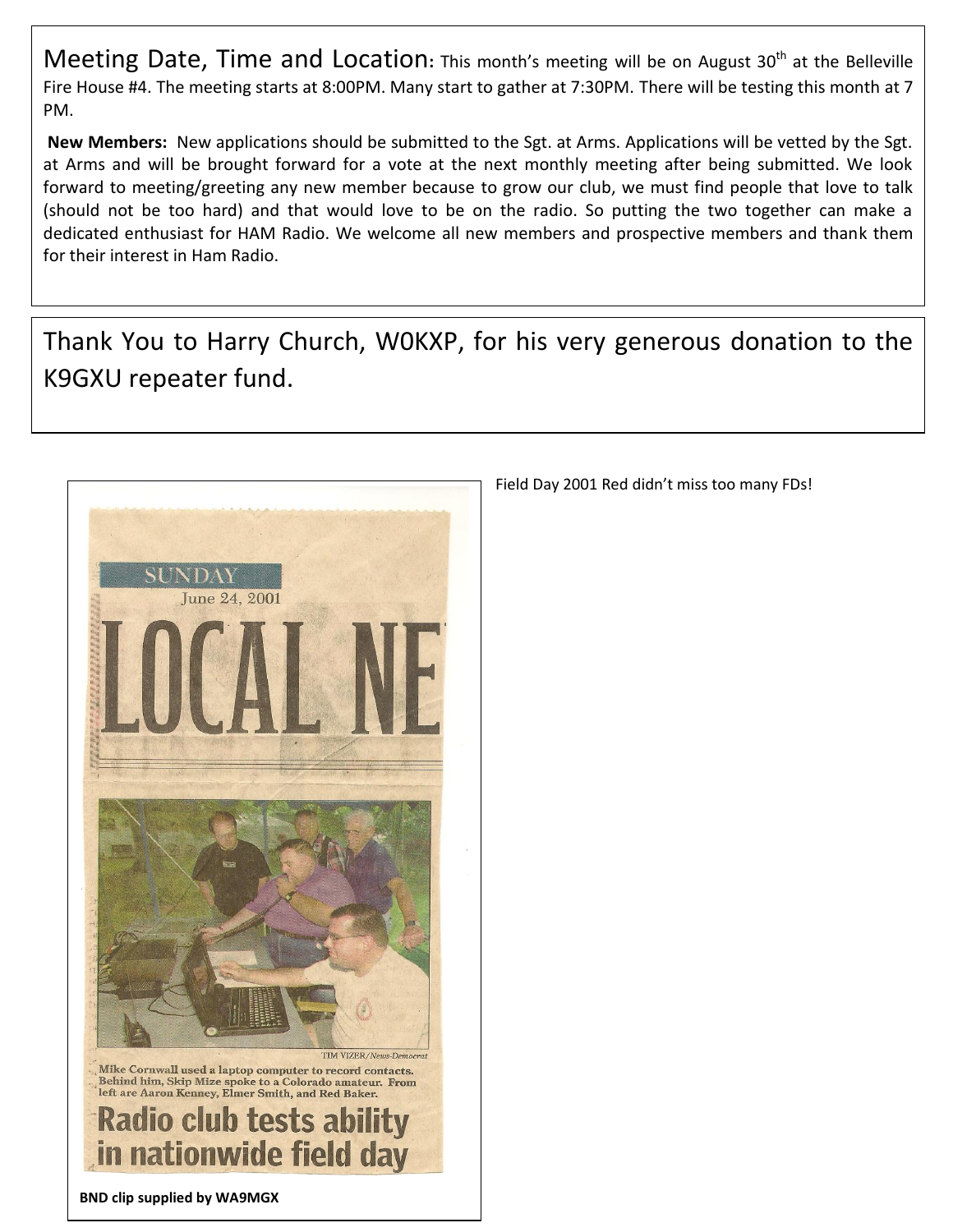Meeting Date, Time and Location: This month's meeting will be on August 30<sup>th</sup> at the Belleville Fire House #4. The meeting starts at 8:00PM. Many start to gather at 7:30PM. There will be testing this month at 7 PM.

**New Members:** New applications should be submitted to the Sgt. at Arms. Applications will be vetted by the Sgt. at Arms and will be brought forward for a vote at the next monthly meeting after being submitted. We look forward to meeting/greeting any new member because to grow our club, we must find people that love to talk (should not be too hard) and that would love to be on the radio. So putting the two together can make a dedicated enthusiast for HAM Radio. We welcome all new members and prospective members and thank them for their interest in Ham Radio.

Thank You to Harry Church, W0KXP, for his very generous donation to the K9GXU repeater fund.



Field Day 2001 Red didn't miss too many FDs!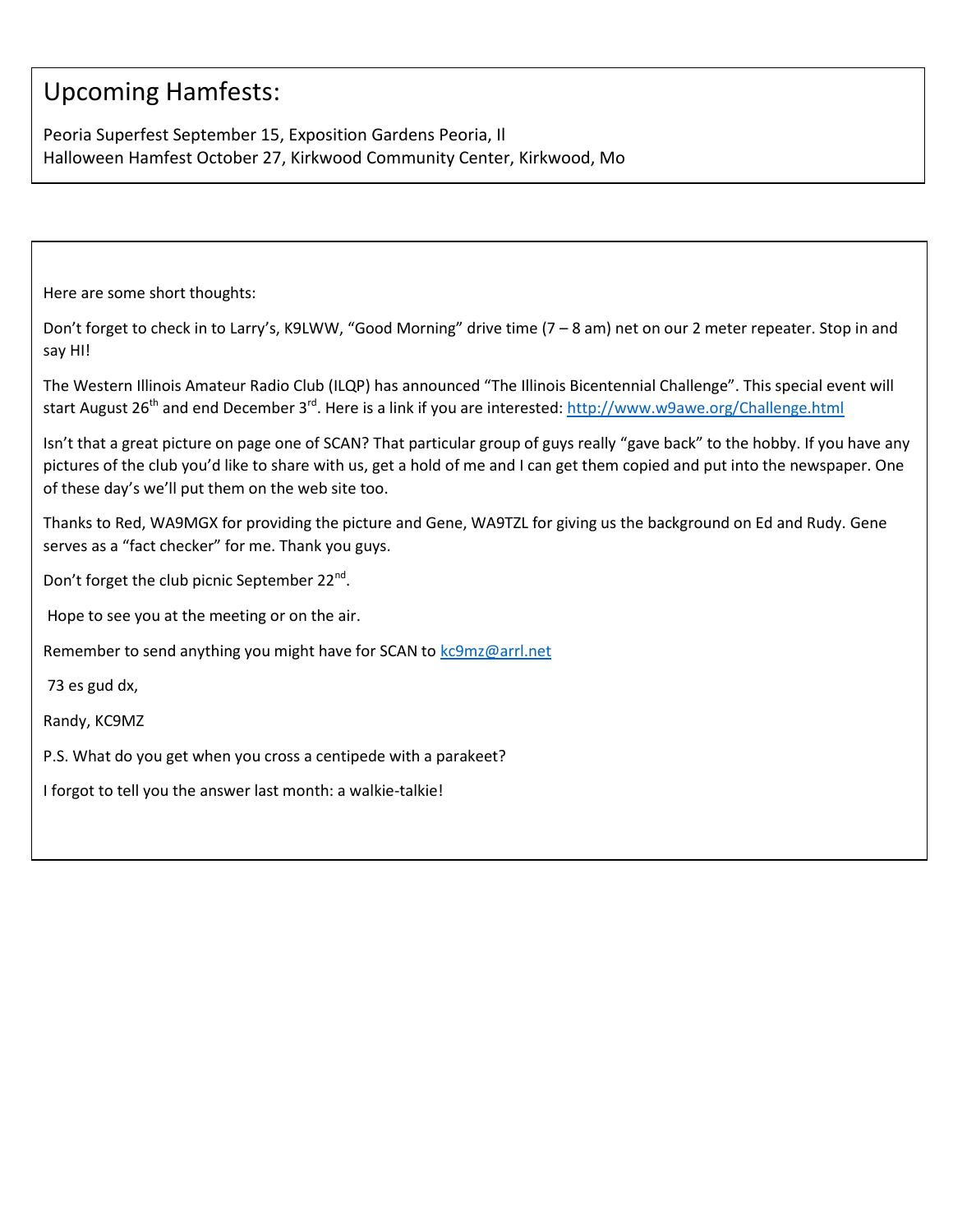## Upcoming Hamfests:

Peoria Superfest September 15, Exposition Gardens Peoria, Il Halloween Hamfest October 27, Kirkwood Community Center, Kirkwood, Mo

Here are some short thoughts:

Don't forget to check in to Larry's, K9LWW, "Good Morning" drive time (7 – 8 am) net on our 2 meter repeater. Stop in and say HI!

The Western Illinois Amateur Radio Club (ILQP) has announced "The Illinois Bicentennial Challenge". This special event will start August 26<sup>th</sup> and end December 3<sup>rd</sup>. Here is a link if you are interested:<http://www.w9awe.org/Challenge.html>

Isn't that a great picture on page one of SCAN? That particular group of guys really "gave back" to the hobby. If you have any pictures of the club you'd like to share with us, get a hold of me and I can get them copied and put into the newspaper. One of these day's we'll put them on the web site too.

Thanks to Red, WA9MGX for providing the picture and Gene, WA9TZL for giving us the background on Ed and Rudy. Gene serves as a "fact checker" for me. Thank you guys.

Don't forget the club picnic September 22<sup>nd</sup>.

Hope to see you at the meeting or on the air.

Remember to send anything you might have for SCAN to [kc9mz@arrl.net](mailto:kc9mz@arrl.net)

73 es gud dx,

Randy, KC9MZ

P.S. What do you get when you cross a centipede with a parakeet?

I forgot to tell you the answer last month: a walkie-talkie!